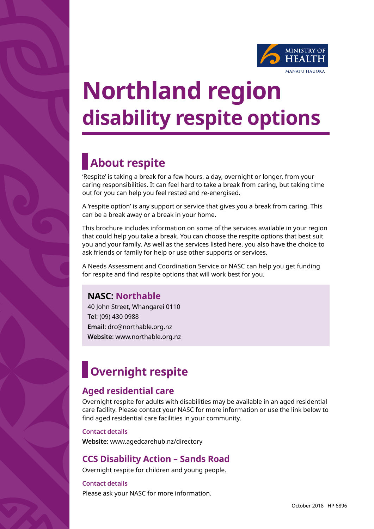

# **Northland region disability respite options**

# **About respite**

'Respite' is taking a break for a few hours, a day, overnight or longer, from your caring responsibilities. It can feel hard to take a break from caring, but taking time out for you can help you feel rested and re-energised.

A 'respite option' is any support or service that gives you a break from caring. This can be a break away or a break in your home.

This brochure includes information on some of the services available in your region that could help you take a break. You can choose the respite options that best suit you and your family. As well as the services listed here, you also have the choice to ask friends or family for help or use other supports or services.

A Needs Assessment and Coordination Service or NASC can help you get funding for respite and find respite options that will work best for you.

# **NASC: Northable**

40 John Street, Whangarei 0110 **Tel**: (09) 430 0988 **Email**: drc@northable.org.nz **Website**: www.northable.org.nz

# **Overnight respite**

# **Aged residential care**

Overnight respite for adults with disabilities may be available in an aged residential care facility. Please contact your NASC for more information or use the link below to find aged residential care facilities in your community.

**Contact details**

**Website**: www.agedcarehub.nz/directory

# **CCS Disability Action – Sands Road**

Overnight respite for children and young people.

#### **Contact details**

Please ask your NASC for more information.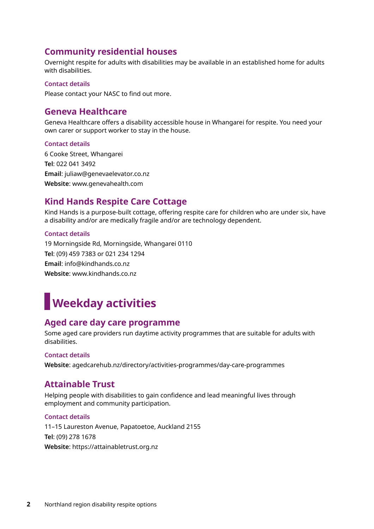# **Community residential houses**

Overnight respite for adults with disabilities may be available in an established home for adults with disabilities.

#### **Contact details**

Please contact your NASC to find out more.

#### **Geneva Healthcare**

Geneva Healthcare offers a disability accessible house in Whangarei for respite. You need your own carer or support worker to stay in the house.

#### **Contact details**

6 Cooke Street, Whangarei **Tel**: 022 041 3492 **Email**: juliaw@genevaelevator.co.nz **Website**: www.genevahealth.com

# **Kind Hands Respite Care Cottage**

Kind Hands is a purpose-built cottage, offering respite care for children who are under six, have a disability and/or are medically fragile and/or are technology dependent.

#### **Contact details**

19 Morningside Rd, Morningside, Whangarei 0110 **Tel**: (09) 459 7383 or 021 234 1294 **Email**: info@kindhands.co.nz **Website**: www.kindhands.co.nz

# **Weekday activities**

### **Aged care day care programme**

Some aged care providers run daytime activity programmes that are suitable for adults with disabilities.

#### **Contact details**

**Website**: agedcarehub.nz/directory/activities-programmes/day-care-programmes

#### **Attainable Trust**

Helping people with disabilities to gain confidence and lead meaningful lives through employment and community participation.

#### **Contact details**

11–15 Laureston Avenue, Papatoetoe, Auckland 2155 **Tel**: (09) 278 1678 **Website**: https://attainabletrust.org.nz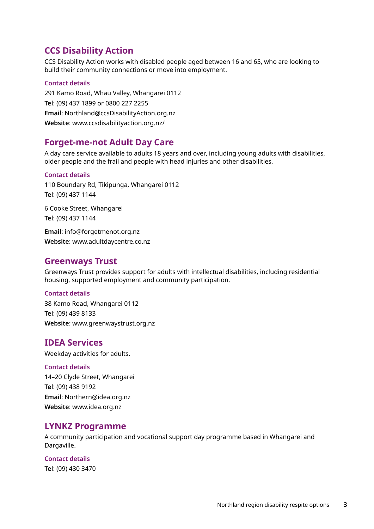# **CCS Disability Action**

CCS Disability Action works with disabled people aged between 16 and 65, who are looking to build their community connections or move into employment.

#### **Contact details**

291 Kamo Road, Whau Valley, Whangarei 0112 **Tel**: (09) 437 1899 or 0800 227 2255 **Email**: Northland@ccsDisabilityAction.org.nz **Website**: www.ccsdisabilityaction.org.nz/

#### **Forget-me-not Adult Day Care**

A day care service available to adults 18 years and over, including young adults with disabilities, older people and the frail and people with head injuries and other disabilities.

#### **Contact details**

110 Boundary Rd, Tikipunga, Whangarei 0112 **Tel**: (09) 437 1144

6 Cooke Street, Whangarei **Tel**: (09) 437 1144

**Email**: info@forgetmenot.org.nz **Website**: www.adultdaycentre.co.nz

#### **Greenways Trust**

Greenways Trust provides support for adults with intellectual disabilities, including residential housing, supported employment and community participation.

#### **Contact details**

38 Kamo Road, Whangarei 0112 **Tel**: (09) 439 8133 **Website**: www.greenwaystrust.org.nz

#### **IDEA Services**

Weekday activities for adults.

#### **Contact details**

14–20 Clyde Street, Whangarei **Tel**: (09) 438 9192 **Email**: Northern@idea.org.nz **Website**: www.idea.org.nz

#### **LYNKZ Programme**

A community participation and vocational support day programme based in Whangarei and Dargaville.

**Contact details Tel**: (09) 430 3470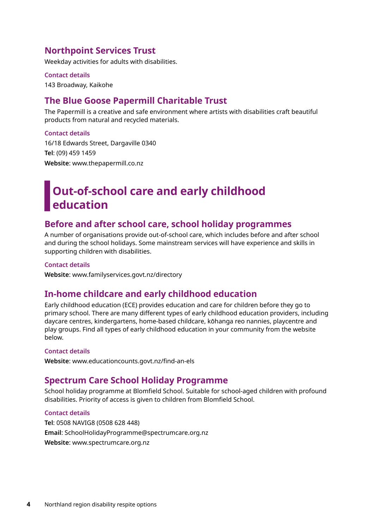### **Northpoint Services Trust**

Weekday activities for adults with disabilities.

**Contact details**

143 Broadway, Kaikohe

#### **The Blue Goose Papermill Charitable Trust**

The Papermill is a creative and safe environment where artists with disabilities craft beautiful products from natural and recycled materials.

**Contact details** 16/18 Edwards Street, Dargaville 0340 **Tel**: (09) 459 1459

**Website**: www.thepapermill.co.nz

# **Out-of-school care and early childhood education**

# **Before and after school care, school holiday programmes**

A number of organisations provide out-of-school care, which includes before and after school and during the school holidays. Some mainstream services will have experience and skills in supporting children with disabilities.

#### **Contact details**

**Website**: www.familyservices.govt.nz/directory

### **In-home childcare and early childhood education**

Early childhood education (ECE) provides education and care for children before they go to primary school. There are many different types of early childhood education providers, including daycare centres, kindergartens, home-based childcare, kōhanga reo nannies, playcentre and play groups. Find all types of early childhood education in your community from the website below.

#### **Contact details**

**Website**: www.educationcounts.govt.nz/find-an-els

#### **Spectrum Care School Holiday Programme**

School holiday programme at Blomfield School. Suitable for school-aged children with profound disabilities. Priority of access is given to children from Blomfield School.

#### **Contact details**

**Tel**: 0508 NAVIG8 (0508 628 448) **Email**: SchoolHolidayProgramme@spectrumcare.org.nz **Website**: www.spectrumcare.org.nz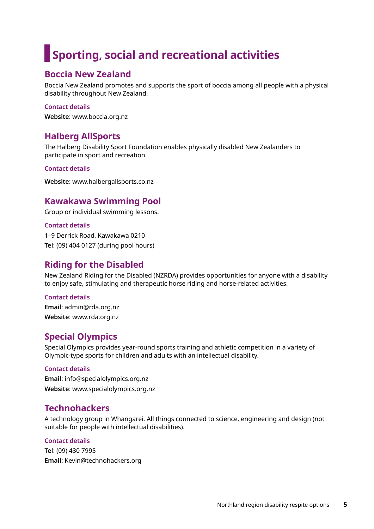# **Sporting, social and recreational activities**

#### **Boccia New Zealand**

Boccia New Zealand promotes and supports the sport of boccia among all people with a physical disability throughout New Zealand.

#### **Contact details**

**Website**: www.boccia.org.nz

### **Halberg AllSports**

The Halberg Disability Sport Foundation enables physically disabled New Zealanders to participate in sport and recreation.

**Contact details**

**Website**: www.halbergallsports.co.nz

#### **Kawakawa Swimming Pool**

Group or individual swimming lessons.

#### **Contact details**

1–9 Derrick Road, Kawakawa 0210 **Tel**: (09) 404 0127 (during pool hours)

### **Riding for the Disabled**

New Zealand Riding for the Disabled (NZRDA) provides opportunities for anyone with a disability to enjoy safe, stimulating and therapeutic horse riding and horse-related activities.

#### **Contact details**

**Email**: admin@rda.org.nz **Website**: www.rda.org.nz

# **Special Olympics**

Special Olympics provides year-round sports training and athletic competition in a variety of Olympic-type sports for children and adults with an intellectual disability.

#### **Contact details**

**Email**: info@specialolympics.org.nz **Website**: www.specialolympics.org.nz

#### **Technohackers**

A technology group in Whangarei. All things connected to science, engineering and design (not suitable for people with intellectual disabilities).

#### **Contact details**

**Tel**: (09) 430 7995 **Email**: Kevin@technohackers.org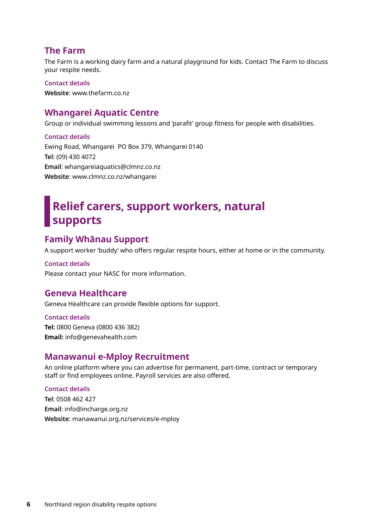### **The Farm**

The Farm is a working dairy farm and a natural playground for kids. Contact The Farm to discuss your respite needs.

**Contact details Website**: www.thefarm.co.nz

# **Whangarei Aquatic Centre**

Group or individual swimming lessons and 'parafit' group fitness for people with disabilities.

**Contact details** Ewing Road, Whangarei PO Box 379, Whangarei 0140 **Tel**: (09) 430 4072 **Email**: whangareiaquatics@clmnz.co.nz **Website**: www.clmnz.co.nz/whangarei

# **Relief carers, support workers, natural supports**

### **Family Whānau Support**

A support worker 'buddy' who offers regular respite hours, either at home or in the community.

**Contact details** Please contact your NASC for more information.

### **Geneva Healthcare**

Geneva Healthcare can provide flexible options for support.

**Contact details Tel:** 0800 Geneva (0800 436 382) **Email:** info@genevahealth.com

### **Manawanui e-Mploy Recruitment**

An online platform where you can advertise for permanent, part-time, contract or temporary staff or find employees online. Payroll services are also offered.

**Contact details**

**Tel**: 0508 462 427 **Email**: info@incharge.org.nz **Website**: manawanui.org.nz/services/e-mploy